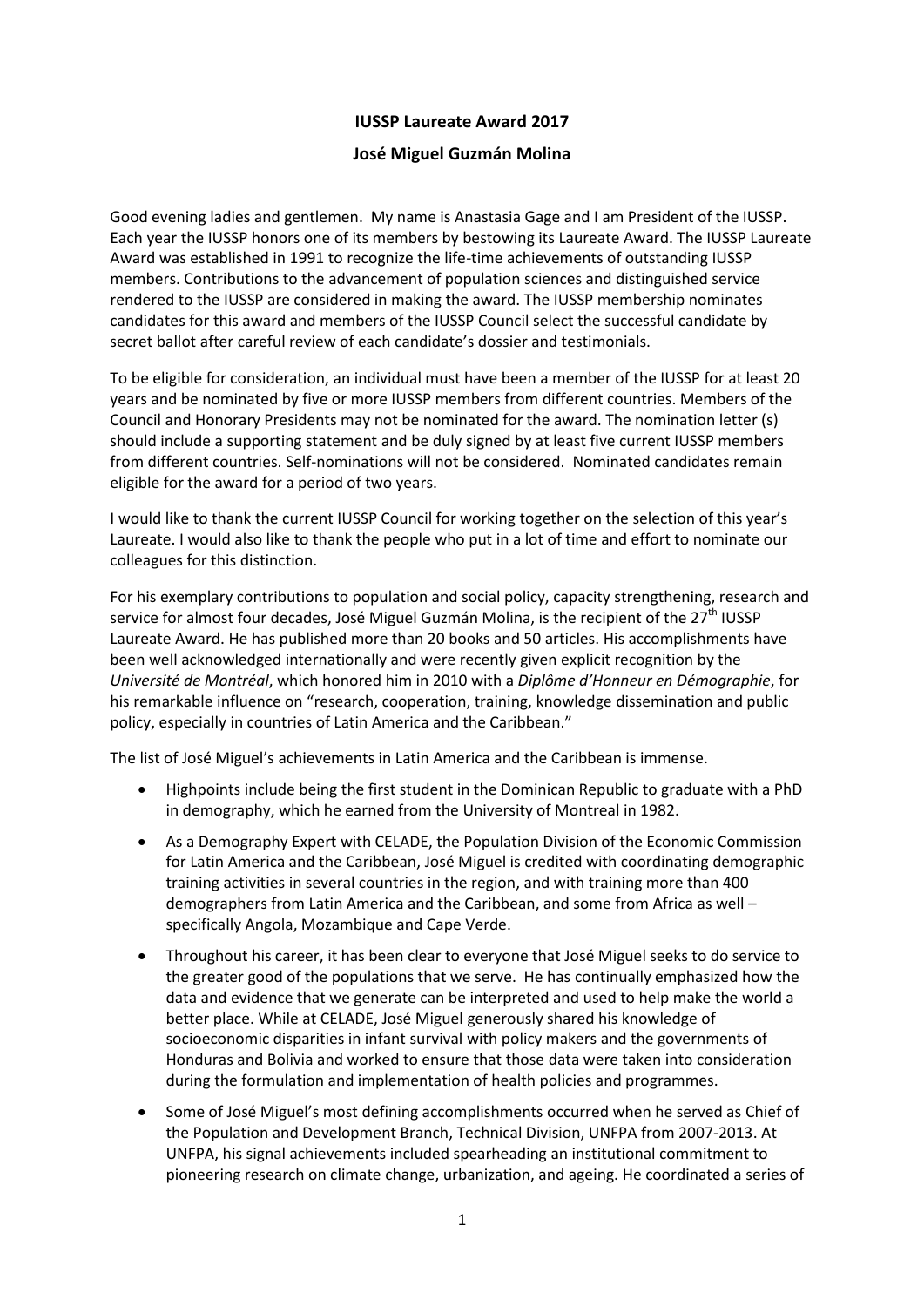## **IUSSP Laureate Award 2017**

## **José Miguel Guzmán Molina**

Good evening ladies and gentlemen. My name is Anastasia Gage and I am President of the IUSSP. Each year the IUSSP honors one of its members by bestowing its Laureate Award. The IUSSP Laureate Award was established in 1991 to recognize the life-time achievements of outstanding IUSSP members. Contributions to the advancement of population sciences and distinguished service rendered to the IUSSP are considered in making the award. The IUSSP membership nominates candidates for this award and members of the IUSSP Council select the successful candidate by secret ballot after careful review of each candidate's dossier and testimonials.

To be eligible for consideration, an individual must have been a member of the IUSSP for at least 20 years and be nominated by five or more IUSSP members from different countries. Members of the Council and Honorary Presidents may not be nominated for the award. The nomination letter (s) should include a supporting statement and be duly signed by at least five current IUSSP members from different countries. Self-nominations will not be considered. Nominated candidates remain eligible for the award for a period of two years.

I would like to thank the current IUSSP Council for working together on the selection of this year's Laureate. I would also like to thank the people who put in a lot of time and effort to nominate our colleagues for this distinction.

For his exemplary contributions to population and social policy, capacity strengthening, research and service for almost four decades, José Miguel Guzmán Molina, is the recipient of the 27<sup>th</sup> IUSSP Laureate Award. He has published more than 20 books and 50 articles. His accomplishments have been well acknowledged internationally and were recently given explicit recognition by the *Université de Montréal*, which honored him in 2010 with a *Diplôme d'Honneur en Démographie*, for his remarkable influence on "research, cooperation, training, knowledge dissemination and public policy, especially in countries of Latin America and the Caribbean."

The list of José Miguel's achievements in Latin America and the Caribbean is immense.

- Highpoints include being the first student in the Dominican Republic to graduate with a PhD in demography, which he earned from the University of Montreal in 1982.
- As a Demography Expert with CELADE, the Population Division of the Economic Commission for Latin America and the Caribbean, José Miguel is credited with coordinating demographic training activities in several countries in the region, and with training more than 400 demographers from Latin America and the Caribbean, and some from Africa as well – specifically Angola, Mozambique and Cape Verde.
- Throughout his career, it has been clear to everyone that José Miguel seeks to do service to the greater good of the populations that we serve. He has continually emphasized how the data and evidence that we generate can be interpreted and used to help make the world a better place. While at CELADE, José Miguel generously shared his knowledge of socioeconomic disparities in infant survival with policy makers and the governments of Honduras and Bolivia and worked to ensure that those data were taken into consideration during the formulation and implementation of health policies and programmes.
- Some of José Miguel's most defining accomplishments occurred when he served as Chief of the Population and Development Branch, Technical Division, UNFPA from 2007-2013. At UNFPA, his signal achievements included spearheading an institutional commitment to pioneering research on climate change, urbanization, and ageing. He coordinated a series of